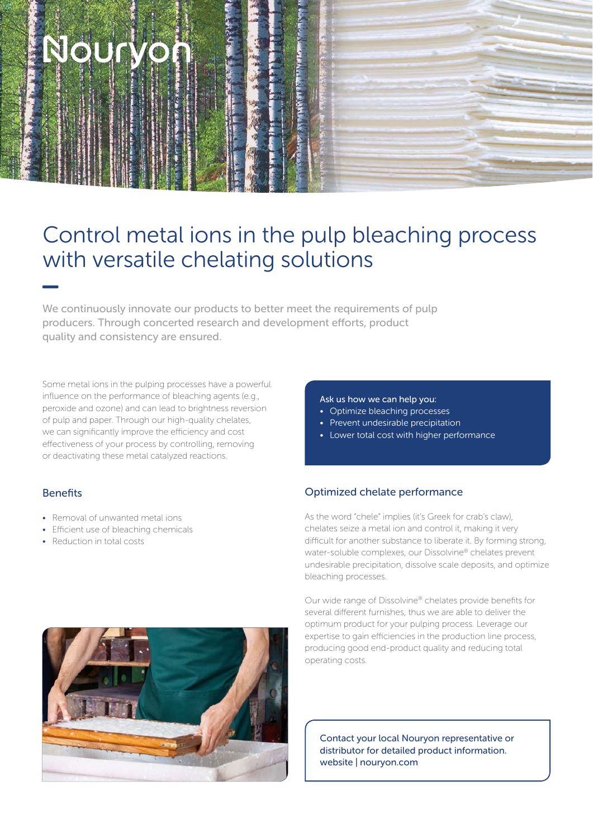# Nourve

### Control metal ions in the pulp bleaching process with versatile chelating solutions

We continuously innovate our products to better meet the requirements of pulp producers. Through concerted research and development efforts, product quality and consistency are ensured.

Some metal ions in the pulping processes have a powerful influence on the performance of bleaching agents (e.g., peroxide and ozone) and can lead to brightness reversion of pulp and paper. Through our high-quality chelates, we can significantly improve the efficiency and cost effectiveness of your process by controlling, removing or deactivating these metal catalyzed reactions.

#### Benefits

- Removal of unwanted metal ions
- Efficient use of bleaching chemicals
- Reduction in total costs

#### Ask us how we can help you:

- Optimize bleaching processes
- Prevent undesirable precipitation
- Lower total cost with higher performance

#### Optimized chelate performance

As the word "chele" implies (it's Greek for crab's claw), chelates seize a metal ion and control it, making it very difficult for another substance to liberate it. By forming strong, water-soluble complexes, our Dissolvine® chelates prevent undesirable precipitation, dissolve scale deposits, and optimize bleaching processes.

Our wide range of Dissolvine® chelates provide benefits for several different furnishes, thus we are able to deliver the optimum product for your pulping process. Leverage our expertise to gain efficiencies in the production line process, producing good end-product quality and reducing total operating costs.

Contact your local Nouryon representative or distributor for detailed product information. website | nouryon.com